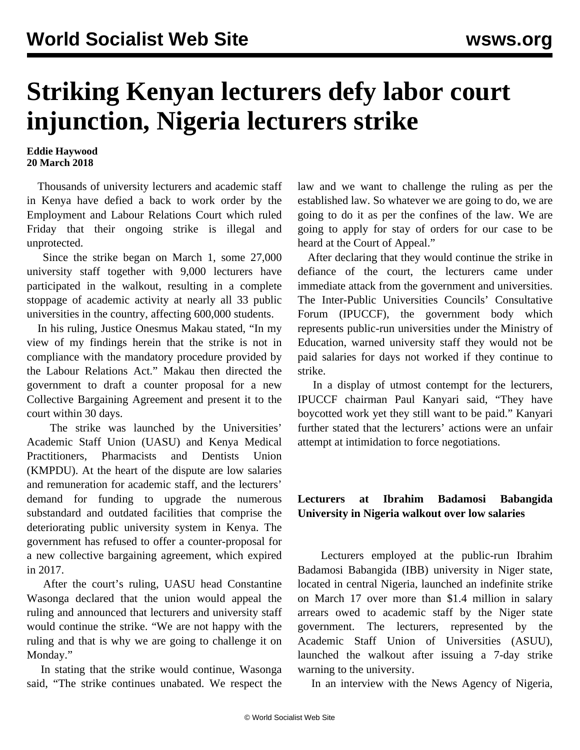## **Striking Kenyan lecturers defy labor court injunction, Nigeria lecturers strike**

## **Eddie Haywood 20 March 2018**

 Thousands of university lecturers and academic staff in Kenya have defied a back to work order by the Employment and Labour Relations Court which ruled Friday that their ongoing strike is illegal and unprotected.

 Since the strike began on March 1, some 27,000 university staff together with 9,000 lecturers have participated in the walkout, resulting in a complete stoppage of academic activity at nearly all 33 public universities in the country, affecting 600,000 students.

 In his ruling, Justice Onesmus Makau stated, "In my view of my findings herein that the strike is not in compliance with the mandatory procedure provided by the Labour Relations Act." Makau then directed the government to draft a counter proposal for a new Collective Bargaining Agreement and present it to the court within 30 days.

 The strike was launched by the Universities' Academic Staff Union (UASU) and Kenya Medical Practitioners, Pharmacists and Dentists Union (KMPDU). At the heart of the dispute are low salaries and remuneration for academic staff, and the lecturers' demand for funding to upgrade the numerous substandard and outdated facilities that comprise the deteriorating public university system in Kenya. The government has refused to offer a counter-proposal for a new collective bargaining agreement, which expired in 2017.

 After the court's ruling, UASU head Constantine Wasonga declared that the union would appeal the ruling and announced that lecturers and university staff would continue the strike. "We are not happy with the ruling and that is why we are going to challenge it on Monday."

 In stating that the strike would continue, Wasonga said, "The strike continues unabated. We respect the law and we want to challenge the ruling as per the established law. So whatever we are going to do, we are going to do it as per the confines of the law. We are going to apply for stay of orders for our case to be heard at the Court of Appeal."

 After declaring that they would continue the strike in defiance of the court, the lecturers came under immediate attack from the government and universities. The Inter-Public Universities Councils' Consultative Forum (IPUCCF), the government body which represents public-run universities under the Ministry of Education, warned university staff they would not be paid salaries for days not worked if they continue to strike.

 In a display of utmost contempt for the lecturers, IPUCCF chairman Paul Kanyari said, "They have boycotted work yet they still want to be paid." Kanyari further stated that the lecturers' actions were an unfair attempt at intimidation to force negotiations.

## **Lecturers at Ibrahim Badamosi Babangida University in Nigeria walkout over low salaries**

 Lecturers employed at the public-run Ibrahim Badamosi Babangida (IBB) university in Niger state, located in central Nigeria, launched an indefinite strike on March 17 over more than \$1.4 million in salary arrears owed to academic staff by the Niger state government. The lecturers, represented by the Academic Staff Union of Universities (ASUU), launched the walkout after issuing a 7-day strike warning to the university.

In an interview with the News Agency of Nigeria,